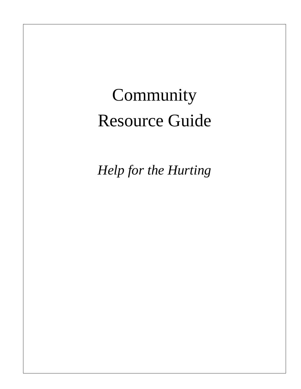# Community Resource Guide

*Help for the Hurting*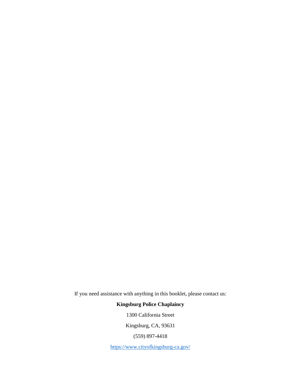If you need assistance with anything in this booklet, please contact us:

#### **Kingsburg Police Chaplaincy**

1300 California Street

Kingsburg, CA, 93631

(559) 897-4418

<https://www.cityofkingsburg-ca.gov/>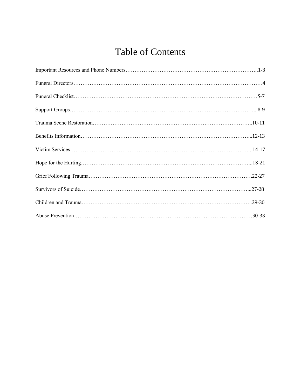# Table of Contents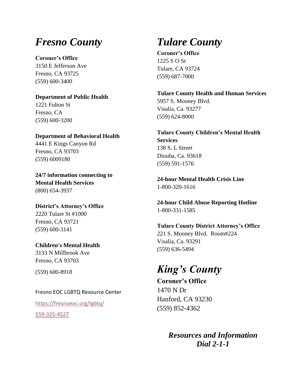# *Fresno County*

**Coroner's Office**  3150 E Jefferson Ave

Fresno, CA 93725 (559) 600-3400

**Department of Public Health** 1221 Fulton St Fresno, CA (559) 600-3200

**Department of Behavioral Health** 4441 E Kings Canyon Rd Fresno, CA 93703 (559) 6009180

**24/7 information connecting to Mental Health Services** (800) 654-3937

**District's Attorney's Office** 2220 Tulare St #1000 Fresno, CA 93721 (559) 600-3141

**Children's Mental Health** 3133 N Millbrook Ave Fresno, CA 93703

(559) 600-8918

Fresno EOC LGBTQ Resource Center

<https://fresnoeoc.org/lgbtq/> 559-325-4527

# *Tulare County*

**Coroner's Office** 1225 S O St Tulare, CA 93724 (559) 687-7000

**Tulare County Health and Human Services** 5957 S. Mooney Blvd. Visalia, Ca. 93277 (559) 624-8000

**Tulare County Children's Mental Health Services** 138 S. L Street Dinuba, Ca. 93618 (559) 591-1576

**24-hour Mental Health Crisis Line** 1-800-320-1616

**24-hour Child Abuse Reporting Hotline** 1-800-331-1585

**Tulare County District Attorney's Office** 221 S. Mooney Blvd. Room#224 Visalia, Ca. 93291 (559) 636-5494

# *King's County*

**Coroner's Office** 1470 N Dr Hanford, CA 93230 (559) 852-4362

> *Resources and Information Dial 2-1-1*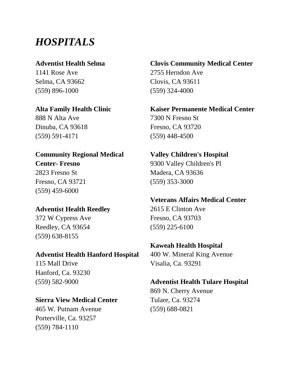# *HOSPITALS*

#### **Adventist Health Selma**

1141 Rose Ave Selma, CA 93662 (559) 896-1000

**Alta Family Health Clinic** 888 N Alta Ave

Dinuba, CA 93618 (559) 591-4171

#### **Community Regional Medical Center- Fresno**

2823 Fresno St Fresno, CA 93721 (559) 459-6000

### **Adventist Health Reedley**

372 W Cypress Ave Reedley, CA 93654 (559) 638-8155

#### **Adventist Health Hanford Hospital**

115 Mall Drive Hanford, Ca. 93230 (559) 582-9000

### **Sierra View Medical Center**

465 W. Putnam Avenue Porterville, Ca. 93257 (559) 784-1110

# **Clovis Community Medical Center** 2755 Herndon Ave Clovis, CA 93611

(559) 324-4000 **Kaiser Permanente Medical Center** 7300 N Fresno St Fresno, CA 93720 (559) 448-4500

**Valley Children's Hospital**  9300 Valley Children's Pl Madera, CA 93636 (559) 353-3000

#### **Veterans Affairs Medical Center**

2615 E Clinton Ave Fresno, CA 93703 (559) 225-6100

### **Kaweah Health Hospital**

400 W. Mineral King Avenue Visalia, Ca. 93291

### **Adventist Health Tulare Hospital**

869 N. Cherry Avenue Tulare, Ca. 93274 (559) 688-0821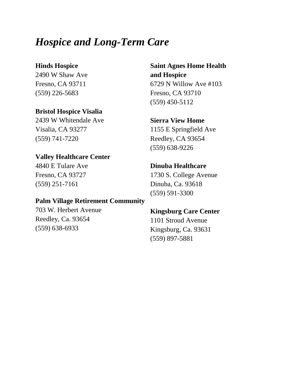# *Hospice and Long-Term Care*

#### **Hinds Hospice**

2490 W Shaw Ave Fresno, CA 93711 (559) 226-5683

### **Bristol Hospice Visalia**

2439 W Whitendale Ave Visalia, CA 93277 (559) 741-7220

# **Valley Healthcare Center**

4840 E Tulare Ave Fresno, CA 93727 (559) 251-7161

#### **Palm Village Retirement Community**

703 W. Herbert Avenue Reedley, Ca. 93654 (559) 638-6933

# **Saint Agnes Home Health and Hospice** 6729 N Willow Ave #103 Fresno, CA 93710 (559) 450-5112

# **Sierra View Home** 1155 E Springfield Ave Reedley, CA 93654 (559) 638-9226

#### **Dinuba Healthcare**

1730 S. College Avenue Dinuba, Ca. 93618 (559) 591-3300

# **Kingsburg Care Center**

1101 Stroud Avenue Kingsburg, Ca. 93631 (559) 897-5881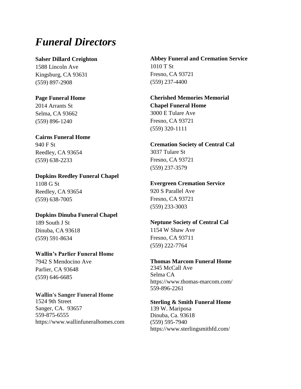# *Funeral Directors*

#### **Salser Dillard Creighton**

1588 Lincoln Ave Kingsburg, CA 93631 (559) 897-2908

**Page Funeral Home** 2014 Arrants St Selma, CA 93662 (559) 896-1240

# **Cairns Funeral Home**

940 F St Reedley, CA 93654 (559) 638-2233

#### **Dopkins Reedley Funeral Chapel**

1108 G St Reedley, CA 93654 (559) 638-7005

#### **Dopkins Dinuba Funeral Chapel**

189 South J St Dinuba, CA 93618 (559) 591-8634

#### **Wallin's Parlier Funeral Home**

7942 S Mendocino Ave Parlier, CA 93648 (559) 646-6685

#### **Wallin's Sanger Funeral Home** 1524 9th Street Sanger, CA. 93657 559-875-6555 [https://www.wallinfuneralhomes.com](https://www.wallinfuneralhomes.com/obits)

**Abbey Funeral and Cremation Service** 1010 T St Fresno, CA 93721 (559) 237-4400

#### **Cherished Memories Memorial Chapel Funeral Home** 3000 E Tulare Ave Fresno, CA 93721 (559) 320-1111

#### **Cremation Society of Central Cal** 3037 Tulare St Fresno, CA 93721 (559) 237-3579

#### **Evergreen Cremation Service**

920 S Parallel Ave Fresno, CA 93721 (559) 233-3003

#### **Neptune Society of Central Cal** 1154 W Shaw Ave

Fresno, CA 93711 (559) 222-7764

#### **Thomas Marcom Funeral Home**

2345 McCall Ave Selma CA <https://www.thomas-marcom.com/> 559-896-2261

#### **Sterling & Smith Funeral Home**  139 W. Mariposa Dinuba, Ca. 93618 (559) 595-7940 https://www.sterlingsmithfd.com/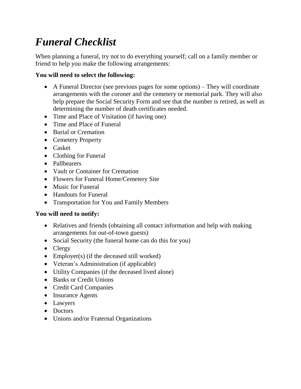# *Funeral Checklist*

When planning a funeral, try not to do everything yourself; call on a family member or friend to help you make the following arrangements:

### **You will need to select the following:**

- A Funeral Director (see previous pages for some options) They will coordinate arrangements with the coroner and the cemetery or memorial park. They will also help prepare the Social Security Form and see that the number is retired, as well as determining the number of death certificates needed.
- Time and Place of Visitation (if having one)
- Time and Place of Funeral
- Burial or Cremation
- Cemetery Property
- Casket
- Clothing for Funeral
- Pallbearers
- Vault or Container for Cremation
- Flowers for Funeral Home/Cemetery Site
- Music for Funeral
- Handouts for Funeral
- Transportation for You and Family Members

#### **You will need to notify:**

- Relatives and friends (obtaining all contact information and help with making arrangements for out-of-town guests)
- Social Security (the funeral home can do this for you)
- Clergy
- Employer(s) (if the deceased still worked)
- Veteran's Administration (if applicable)
- Utility Companies (if the deceased lived alone)
- Banks or Credit Unions
- Credit Card Companies
- Insurance Agents
- Lawyers
- Doctors
- Unions and/or Fraternal Organizations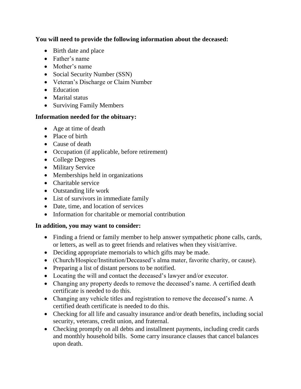**You will need to provide the following information about the deceased:**

- Birth date and place
- Father's name
- Mother's name
- Social Security Number (SSN)
- Veteran's Discharge or Claim Number
- Education
- Marital status
- Surviving Family Members

#### **Information needed for the obituary:**

- Age at time of death
- Place of birth
- Cause of death
- Occupation (if applicable, before retirement)
- College Degrees
- Military Service
- Memberships held in organizations
- Charitable service
- Outstanding life work
- List of survivors in immediate family
- Date, time, and location of services
- Information for charitable or memorial contribution

#### **In addition, you may want to consider:**

- Finding a friend or family member to help answer sympathetic phone calls, cards, or letters, as well as to greet friends and relatives when they visit/arrive.
- Deciding appropriate memorials to which gifts may be made.
- (Church/Hospice/Institution/Deceased's alma mater, favorite charity, or cause).
- Preparing a list of distant persons to be notified.
- Locating the will and contact the deceased's lawyer and/or executor.
- Changing any property deeds to remove the deceased's name. A certified death certificate is needed to do this.
- Changing any vehicle titles and registration to remove the deceased's name. A certified death certificate is needed to do this.
- Checking for all life and casualty insurance and/or death benefits, including social security, veterans, credit union, and fraternal.
- Checking promptly on all debts and installment payments, including credit cards and monthly household bills. Some carry insurance clauses that cancel balances upon death.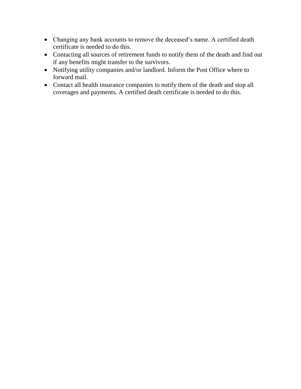- Changing any bank accounts to remove the deceased's name. A certified death certificate is needed to do this.
- Contacting all sources of retirement funds to notify them of the death and find out if any benefits might transfer to the survivors.
- Notifying utility companies and/or landlord. Inform the Post Office where to forward mail.
- Contact all health insurance companies to notify them of the death and stop all coverages and payments. A certified death certificate is needed to do this.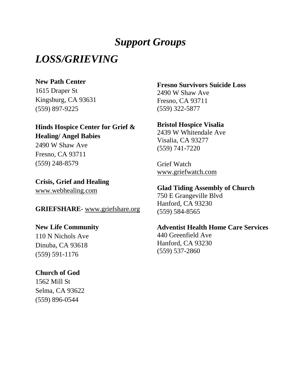# *Support Groups*

# *LOSS/GRIEVING*

#### **New Path Center**

1615 Draper St Kingsburg, CA 93631 (559) 897-9225

#### **Hinds Hospice Center for Grief & Healing/ Angel Babies**

2490 W Shaw Ave Fresno, CA 93711 (559) 248-8579

#### **Crisis, Grief and Healing**

[www.webhealing.com](file://///KIPDSERVER/Transfer/NET%20RMS%20Attachments/Padilla/www.webhealing.com)

#### **GRIEFSHARE**- [www.griefshare.org](file://///KIPDSERVER/Transfer/NET%20RMS%20Attachments/Padilla/www.griefshare.org)

#### **New Life Community**

110 N Nichols Ave Dinuba, CA 93618 (559) 591-1176

#### **Church of God**

1562 Mill St Selma, CA 93622 (559) 896-0544

# **Fresno Survivors Suicide Loss**

2490 W Shaw Ave Fresno, CA 93711 (559) 322-5877

#### **Bristol Hospice Visalia**

2439 W Whitendale Ave Visalia, CA 93277 (559) 741-7220

Grief Watch [www.griefwatch.com](file://///KIPDSERVER/Transfer/NET%20RMS%20Attachments/Padilla/www.griefwatch.com)

#### **Glad Tiding Assembly of Church**

750 E Grangeville Blvd Hanford, CA 93230 (559) 584-8565

#### **Adventist Health Home Care Services**

440 Greenfield Ave Hanford, CA 93230 (559) 537-2860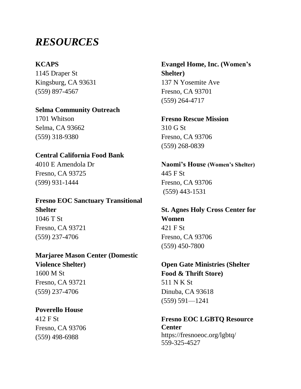# *RESOURCES*

#### **KCAPS**

1145 Draper St Kingsburg, CA 93631 (559) 897-4567

# **Selma Community Outreach**

1701 Whitson Selma, CA 93662 (559) 318-9380

#### **Central California Food Bank**

4010 E Amendola Dr Fresno, CA 93725 (599) 931-1444

# **Fresno EOC Sanctuary Transitional Shelter** 1046 T St

Fresno, CA 93721 (559) 237-4706

# **Marjaree Mason Center (Domestic**

**Violence Shelter)** 1600 M St Fresno, CA 93721 (559) 237-4706

#### **Poverello House**

412 F St Fresno, CA 93706 (559) 498-6988

# **Evangel Home, Inc. (Women's Shelter)** 137 N Yosemite Ave Fresno, CA 93701 (559) 264-4717

# **Fresno Rescue Mission** 310 G St Fresno, CA 93706 (559) 268-0839

**Naomi's House (Women's Shelter)** 445 F St Fresno, CA 93706 (559) 443-1531

**St. Agnes Holy Cross Center for Women** 421 F St Fresno, CA 93706 (559) 450-7800

# **Open Gate Ministries (Shelter Food & Thrift Store)** 511 N K St Dinuba, CA 93618 (559) 591—1241

#### **Fresno EOC LGBTQ Resource Center** <https://fresnoeoc.org/lgbtq/> 559-325-4527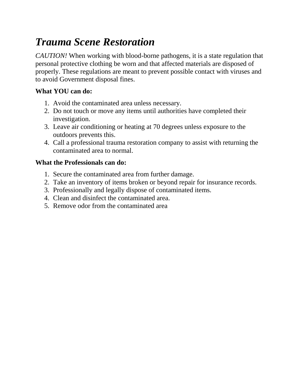# *Trauma Scene Restoration*

*CAUTION!* When working with blood-borne pathogens, it is a state regulation that personal protective clothing be worn and that affected materials are disposed of properly. These regulations are meant to prevent possible contact with viruses and to avoid Government disposal fines.

# **What YOU can do:**

- 1. Avoid the contaminated area unless necessary.
- 2. Do not touch or move any items until authorities have completed their investigation.
- 3. Leave air conditioning or heating at 70 degrees unless exposure to the outdoors prevents this.
- 4. Call a professional trauma restoration company to assist with returning the contaminated area to normal.

# **What the Professionals can do:**

- 1. Secure the contaminated area from further damage.
- 2. Take an inventory of items broken or beyond repair for insurance records.
- 3. Professionally and legally dispose of contaminated items.
- 4. Clean and disinfect the contaminated area.
- 5. Remove odor from the contaminated area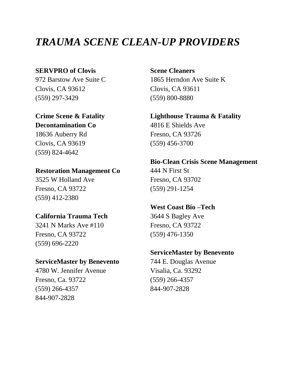# *TRAUMA SCENE CLEAN-UP PROVIDERS*

#### **SERVPRO of Clovis**

972 Barstow Ave Suite C Clovis, CA 93612 (559) 297-3429

#### **Crime Scene & Fatality Decontamination Co**

18636 Auberry Rd Clovis, CA 93619 (559) 824-4642

#### **Restoration Management Co**

3525 W Holland Ave Fresno, CA 93722 (559) 412-2380

#### **California Trauma Tech**

3241 N Marks Ave #110 Fresno, CA 93722 (559) 696-2220

#### **ServiceMaster by Benevento**

4780 W. Jennifer Avenue Fresno, Ca. 93722 (559) 266-4357 844-907-2828

**Scene Cleaners** 1865 Herndon Ave Suite K Clovis, CA 93611 (559) 800-8880

### **Lighthouse Trauma & Fatality**  4816 E Shields Ave

Fresno, CA 93726 (559) 456-3700

# **Bio-Clean Crisis Scene Management** 444 N First St Fresno, CA 93702

(559) 291-1254

### **West Coast Bio –Tech**

3644 S Bagley Ave Fresno, CA 93722 (559) 476-1350

#### **ServiceMaster by Benevento**

744 E. Douglas Avenue Visalia, Ca. 93292 (559) 266-4357 844-907-2828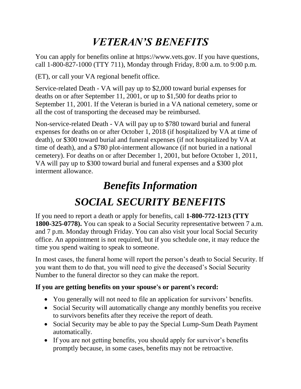# *VETERAN'S BENEFITS*

You can apply for benefits online at https://www.vets.gov. If you have questions, call 1-800-827-1000 (TTY 711), Monday through Friday, 8:00 a.m. to 9:00 p.m.

(ET), or call your VA regional benefit office.

Service-related Death - VA will pay up to \$2,000 toward burial expenses for deaths on or after September 11, 2001, or up to \$1,500 for deaths prior to September 11, 2001. If the Veteran is buried in a VA national cemetery, some or all the cost of transporting the deceased may be reimbursed.

Non-service-related Death - VA will pay up to \$780 toward burial and funeral expenses for deaths on or after October 1, 2018 (if hospitalized by VA at time of death), or \$300 toward burial and funeral expenses (if not hospitalized by VA at time of death), and a \$780 plot-interment allowance (if not buried in a national cemetery). For deaths on or after December 1, 2001, but before October 1, 2011, VA will pay up to \$300 toward burial and funeral expenses and a \$300 plot interment allowance.

# *Benefits Information SOCIAL SECURITY BENEFITS*

If you need to report a death or apply for benefits, call **1-800-772-1213 (TTY 1800-325-0778).** You can speak to a Social Security representative between 7 a.m. and 7 p.m. Monday through Friday. You can also visit your local Social Security office. An appointment is not required, but if you schedule one, it may reduce the time you spend waiting to speak to someone.

In most cases, the funeral home will report the person's death to Social Security. If you want them to do that, you will need to give the deceased's Social Security Number to the funeral director so they can make the report.

# **If you are getting benefits on your spouse's or parent's record:**

- You generally will not need to file an application for survivors' benefits.
- Social Security will automatically change any monthly benefits you receive to survivors benefits after they receive the report of death.
- Social Security may be able to pay the Special Lump-Sum Death Payment automatically.
- If you are not getting benefits, you should apply for survivor's benefits promptly because, in some cases, benefits may not be retroactive.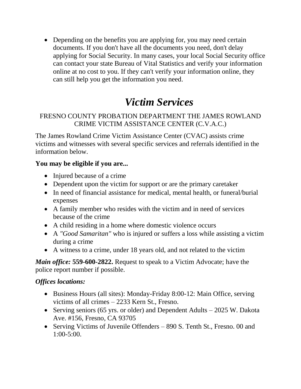• Depending on the benefits you are applying for, you may need certain documents. If you don't have all the documents you need, don't delay applying for Social Security. In many cases, your local Social Security office can contact your state Bureau of Vital Statistics and verify your information online at no cost to you. If they can't verify your information online, they can still help you get the information you need.

# *Victim Services*

# FRESNO COUNTY PROBATION DEPARTMENT THE JAMES ROWLAND CRIME VICTIM ASSISTANCE CENTER (C.V.A.C.)

The James Rowland Crime Victim Assistance Center (CVAC) assists crime victims and witnesses with several specific services and referrals identified in the information below.

### **You may be eligible if you are...**

- Injured because of a crime
- Dependent upon the victim for support or are the primary caretaker
- In need of financial assistance for medical, mental health, or funeral/burial expenses
- A family member who resides with the victim and in need of services because of the crime
- A child residing in a home where domestic violence occurs
- A *"Good Samaritan"* who is injured or suffers a loss while assisting a victim during a crime
- A witness to a crime, under 18 years old, and not related to the victim

*Main office:* **559-600-2822.** Request to speak to a Victim Advocate; have the police report number if possible.

# *Offices locations:*

- Business Hours (all sites): Monday-Friday 8:00-12: Main Office, serving victims of all crimes – 2233 Kern St., Fresno.
- Serving seniors (65 yrs. or older) and Dependent Adults 2025 W. Dakota Ave. #156, Fresno, CA 93705
- Serving Victims of Juvenile Offenders 890 S. Tenth St., Fresno. 00 and 1:00-5:00.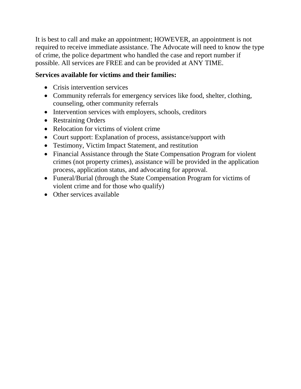It is best to call and make an appointment; HOWEVER, an appointment is not required to receive immediate assistance. The Advocate will need to know the type of crime, the police department who handled the case and report number if possible. All services are FREE and can be provided at ANY TIME.

### **Services available for victims and their families:**

- Crisis intervention services
- Community referrals for emergency services like food, shelter, clothing, counseling, other community referrals
- Intervention services with employers, schools, creditors
- Restraining Orders
- Relocation for victims of violent crime
- Court support: Explanation of process, assistance/support with
- Testimony, Victim Impact Statement, and restitution
- Financial Assistance through the State Compensation Program for violent crimes (not property crimes), assistance will be provided in the application process, application status, and advocating for approval.
- Funeral/Burial (through the State Compensation Program for victims of violent crime and for those who qualify)
- Other services available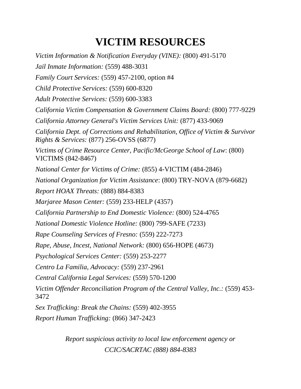# **VICTIM RESOURCES**

*Victim Information & Notification Everyday (VINE):* (800) 491-5170 *Jail Inmate Information:* (559) 488-3031 *Family Court Services:* (559) 457-2100, option #4 *Child Protective Services:* (559) 600-8320 *Adult Protective Services:* (559) 600-3383 *California Victim Compensation & Government Claims Board:* (800) 777-9229 *California Attorney General's Victim Services Unit:* (877) 433-9069 *California Dept. of Corrections and Rehabilitation, Office of Victim & Survivor Rights & Services:* (877) 256-OVSS (6877) *Victims of Crime Resource Center, Pacific/McGeorge School of Law*: (800) VICTIMS (842-8467) *National Center for Victims of Crime:* (855) 4-VICTIM (484-2846) *National Organization for Victim Assistance*: (800) TRY-NOVA (879-6682) *Report HOAX Threats:* (888) 884-8383 *Marjaree Mason Center:* (559) 233-HELP (4357) *California Partnership to End Domestic Violence:* (800) 524-4765 *National Domestic Violence Hotline:* (800) 799-SAFE (7233) *Rape Counseling Services of Fresno:* (559) 222-7273 *Rape, Abuse, Incest, National Network:* (800) 656-HOPE (4673) *Psychological Services Center:* (559) 253-2277 *Centro La Familia, Advocacy:* (559) 237-2961 *Central California Legal Services:* (559) 570-1200 *Victim Offender Reconciliation Program of the Central Valley, Inc.:* (559) 453- 3472 *Sex Trafficking: Break the Chains:* (559) 402-3955 *Report Human Trafficking:* (866) 347-2423

> *Report suspicious activity to local law enforcement agency or CCIC/SACRTAC (888) 884-8383*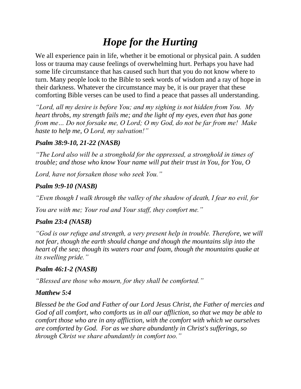# *Hope for the Hurting*

We all experience pain in life, whether it be emotional or physical pain. A sudden loss or trauma may cause feelings of overwhelming hurt. Perhaps you have had some life circumstance that has caused such hurt that you do not know where to turn. Many people look to the Bible to seek words of wisdom and a ray of hope in their darkness. Whatever the circumstance may be, it is our prayer that these comforting Bible verses can be used to find a peace that passes all understanding.

*"Lord, all my desire is before You; and my sighing is not hidden from You. My heart throbs, my strength fails me; and the light of my eyes, even that has gone from me… Do not forsake me, O Lord; O my God, do not be far from me! Make haste to help me, O Lord, my salvation!"* 

### *Psalm 38:9-10, 21-22 (NASB)*

*"The Lord also will be a stronghold for the oppressed, a stronghold in times of trouble; and those who know Your name will put their trust in You, for You, O* 

*Lord, have not forsaken those who seek You."* 

### *Psalm 9:9-10 (NASB)*

*"Even though I walk through the valley of the shadow of death, I fear no evil, for* 

*You are with me; Your rod and Your staff, they comfort me."* 

# *Psalm 23:4 (NASB)*

*"God is our refuge and strength, a very present help in trouble. Therefore, we will not fear, though the earth should change and though the mountains slip into the heart of the sea; though its waters roar and foam, though the mountains quake at its swelling pride."* 

# *Psalm 46:1-2 (NASB)*

*"Blessed are those who mourn, for they shall be comforted."* 

# *Matthew 5:4*

*Blessed be the God and Father of our Lord Jesus Christ, the Father of mercies and God of all comfort, who comforts us in all our affliction, so that we may be able to comfort those who are in any affliction, with the comfort with which we ourselves are comforted by God. For as we share abundantly in Christ's sufferings, so through Christ we share abundantly in comfort too."*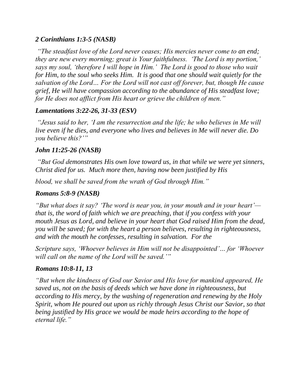#### *2 Corinthians 1:3-5 (NASB)*

*"The steadfast love of the Lord never ceases; His mercies never come to an end; they are new every morning; great is Your faithfulness. 'The Lord is my portion,' says my soul, 'therefore I will hope in Him.' The Lord is good to those who wait for Him, to the soul who seeks Him. It is good that one should wait quietly for the salvation of the Lord… For the Lord will not cast off forever, but, though He cause grief, He will have compassion according to the abundance of His steadfast love; for He does not afflict from His heart or grieve the children of men."* 

#### *Lamentations 3:22-26, 31-33 (ESV)*

*"Jesus said to her, 'I am the resurrection and the life; he who believes in Me will live even if he dies, and everyone who lives and believes in Me will never die. Do you believe this?'"* 

#### *John 11:25-26 (NASB)*

*"But God demonstrates His own love toward us, in that while we were yet sinners, Christ died for us. Much more then, having now been justified by His* 

*blood, we shall be saved from the wrath of God through Him."* 

### *Romans 5:8-9 (NASB)*

*"But what does it say? 'The word is near you, in your mouth and in your heart' that is, the word of faith which we are preaching, that if you confess with your mouth Jesus as Lord, and believe in your heart that God raised Him from the dead, you will be saved; for with the heart a person believes, resulting in righteousness, and with the mouth he confesses, resulting in salvation. For the* 

*Scripture says, 'Whoever believes in Him will not be disappointed'… for 'Whoever will call on the name of the Lord will be saved.'"*

### *Romans 10:8-11, 13*

*"But when the kindness of God our Savior and His love for mankind appeared, He saved us, not on the basis of deeds which we have done in righteousness, but according to His mercy, by the washing of regeneration and renewing by the Holy Spirit, whom He poured out upon us richly through Jesus Christ our Savior, so that being justified by His grace we would be made heirs according to the hope of eternal life."*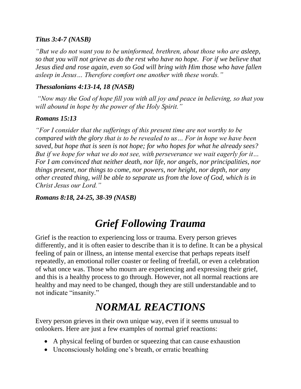#### *Titus 3:4-7 (NASB)*

*"But we do not want you to be uninformed, brethren, about those who are asleep, so that you will not grieve as do the rest who have no hope. For if we believe that Jesus died and rose again, even so God will bring with Him those who have fallen asleep in Jesus… Therefore comfort one another with these words."*

#### *Thessalonians 4:13-14, 18 (NASB)*

*"Now may the God of hope fill you with all joy and peace in believing, so that you will abound in hope by the power of the Holy Spirit."* 

#### *Romans 15:13*

*"For I consider that the sufferings of this present time are not worthy to be compared with the glory that is to be revealed to us… For in hope we have been saved, but hope that is seen is not hope; for who hopes for what he already sees? But if we hope for what we do not see, with perseverance we wait eagerly for it… For I am convinced that neither death, nor life, nor angels, nor principalities, nor things present, nor things to come, nor powers, nor height, nor depth, nor any other created thing, will be able to separate us from the love of God, which is in Christ Jesus our Lord."* 

*Romans 8:18, 24-25, 38-39 (NASB)*

# *Grief Following Trauma*

Grief is the reaction to experiencing loss or trauma. Every person grieves differently, and it is often easier to describe than it is to define. It can be a physical feeling of pain or illness, an intense mental exercise that perhaps repeats itself repeatedly, an emotional roller coaster or feeling of freefall, or even a celebration of what once was. Those who mourn are experiencing and expressing their grief, and this is a healthy process to go through. However, not all normal reactions are healthy and may need to be changed, though they are still understandable and to not indicate "insanity."

# *NORMAL REACTIONS*

Every person grieves in their own unique way, even if it seems unusual to onlookers. Here are just a few examples of normal grief reactions:

- A physical feeling of burden or squeezing that can cause exhaustion
- Unconsciously holding one's breath, or erratic breathing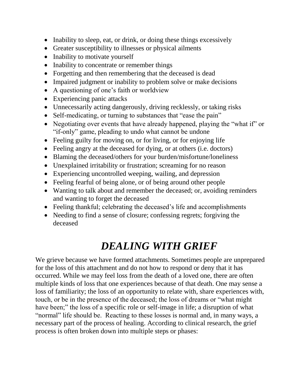- Inability to sleep, eat, or drink, or doing these things excessively
- Greater susceptibility to illnesses or physical ailments
- Inability to motivate yourself
- Inability to concentrate or remember things
- Forgetting and then remembering that the deceased is dead
- Impaired judgment or inability to problem solve or make decisions
- A questioning of one's faith or worldview
- Experiencing panic attacks
- Unnecessarily acting dangerously, driving recklessly, or taking risks
- Self-medicating, or turning to substances that "ease the pain"
- Negotiating over events that have already happened, playing the "what if" or "if-only" game, pleading to undo what cannot be undone
- Feeling guilty for moving on, or for living, or for enjoying life
- Feeling angry at the deceased for dying, or at others (i.e. doctors)
- Blaming the deceased/others for your burden/misfortune/loneliness
- Unexplained irritability or frustration; screaming for no reason
- Experiencing uncontrolled weeping, wailing, and depression
- Feeling fearful of being alone, or of being around other people
- Wanting to talk about and remember the deceased; or, avoiding reminders and wanting to forget the deceased
- Feeling thankful; celebrating the deceased's life and accomplishments
- Needing to find a sense of closure; confessing regrets; forgiving the deceased

# *DEALING WITH GRIEF*

We grieve because we have formed attachments. Sometimes people are unprepared for the loss of this attachment and do not how to respond or deny that it has occurred. While we may feel loss from the death of a loved one, there are often multiple kinds of loss that one experiences because of that death. One may sense a loss of familiarity; the loss of an opportunity to relate with, share experiences with, touch, or be in the presence of the deceased; the loss of dreams or "what might have been;" the loss of a specific role or self-image in life; a disruption of what "normal" life should be. Reacting to these losses is normal and, in many ways, a necessary part of the process of healing. According to clinical research, the grief process is often broken down into multiple steps or phases: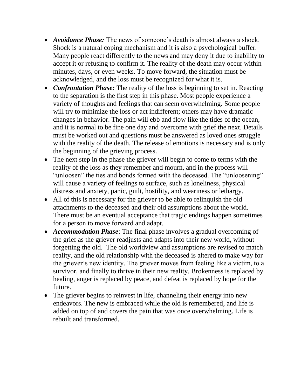- *Avoidance Phase:* The news of someone's death is almost always a shock. Shock is a natural coping mechanism and it is also a psychological buffer. Many people react differently to the news and may deny it due to inability to accept it or refusing to confirm it. The reality of the death may occur within minutes, days, or even weeks. To move forward, the situation must be acknowledged, and the loss must be recognized for what it is.
- *Confrontation Phase:* The reality of the loss is beginning to set in. Reacting to the separation is the first step in this phase. Most people experience a variety of thoughts and feelings that can seem overwhelming. Some people will try to minimize the loss or act indifferent; others may have dramatic changes in behavior. The pain will ebb and flow like the tides of the ocean, and it is normal to be fine one day and overcome with grief the next. Details must be worked out and questions must be answered as loved ones struggle with the reality of the death. The release of emotions is necessary and is only the beginning of the grieving process.
- The next step in the phase the griever will begin to come to terms with the reality of the loss as they remember and mourn, and in the process will "unloosen" the ties and bonds formed with the deceased. The "unloosening" will cause a variety of feelings to surface, such as loneliness, physical distress and anxiety, panic, guilt, hostility, and weariness or lethargy.
- All of this is necessary for the griever to be able to relinquish the old attachments to the deceased and their old assumptions about the world. There must be an eventual acceptance that tragic endings happen sometimes for a person to move forward and adapt.
- *Accommodation Phase*: The final phase involves a gradual overcoming of the grief as the griever readjusts and adapts into their new world, without forgetting the old. The old worldview and assumptions are revised to match reality, and the old relationship with the deceased is altered to make way for the griever's new identity. The griever moves from feeling like a victim, to a survivor, and finally to thrive in their new reality. Brokenness is replaced by healing, anger is replaced by peace, and defeat is replaced by hope for the future.
- The griever begins to reinvest in life, channeling their energy into new endeavors. The new is embraced while the old is remembered, and life is added on top of and covers the pain that was once overwhelming. Life is rebuilt and transformed.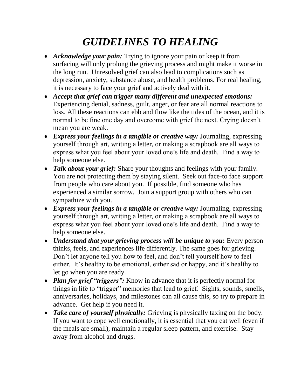# *GUIDELINES TO HEALING*

- *Acknowledge your pain:* Trying to ignore your pain or keep it from surfacing will only prolong the grieving process and might make it worse in the long run. Unresolved grief can also lead to complications such as depression, anxiety, substance abuse, and health problems. For real healing, it is necessary to face your grief and actively deal with it.
- *Accept that grief can trigger many different and unexpected emotions:* Experiencing denial, sadness, guilt, anger, or fear are all normal reactions to loss. All these reactions can ebb and flow like the tides of the ocean, and it is normal to be fine one day and overcome with grief the next. Crying doesn't mean you are weak.
- *Express your feelings in a tangible or creative way:* Journaling, expressing yourself through art, writing a letter, or making a scrapbook are all ways to express what you feel about your loved one's life and death. Find a way to help someone else.
- *Talk about your grief:* Share your thoughts and feelings with your family. You are not protecting them by staying silent. Seek out face-to face support from people who care about you. If possible, find someone who has experienced a similar sorrow. Join a support group with others who can sympathize with you.
- *Express your feelings in a tangible or creative way:* Journaling, expressing yourself through art, writing a letter, or making a scrapbook are all ways to express what you feel about your loved one's life and death. Find a way to help someone else.
- *Understand that your grieving process will be unique to you***:** Every person thinks, feels, and experiences life differently. The same goes for grieving. Don't let anyone tell you how to feel, and don't tell yourself how to feel either. It's healthy to be emotional, either sad or happy, and it's healthy to let go when you are ready.
- *Plan for grief "triggers"*: Know in advance that it is perfectly normal for things in life to "trigger" memories that lead to grief. Sights, sounds, smells, anniversaries, holidays, and milestones can all cause this, so try to prepare in advance. Get help if you need it.
- *Take care of yourself physically:* Grieving is physically taxing on the body. If you want to cope well emotionally, it is essential that you eat well (even if the meals are small), maintain a regular sleep pattern, and exercise. Stay away from alcohol and drugs.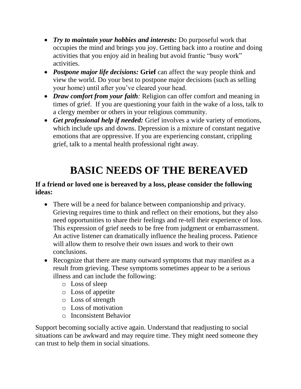- *Try to maintain your hobbies and interests:* Do purposeful work that occupies the mind and brings you joy. Getting back into a routine and doing activities that you enjoy aid in healing but avoid frantic "busy work" activities.
- *Postpone major life decisions:* **Grief** can affect the way people think and view the world. Do your best to postpone major decisions (such as selling your home) until after you've cleared your head.
- *Draw comfort from your faith:* Religion can offer comfort and meaning in times of grief. If you are questioning your faith in the wake of a loss, talk to a clergy member or others in your religious community.
- *Get professional help if needed:* Grief involves a wide variety of emotions, which include ups and downs. Depression is a mixture of constant negative emotions that are oppressive. If you are experiencing constant, crippling grief, talk to a mental health professional right away.

# **BASIC NEEDS OF THE BEREAVED**

### **If a friend or loved one is bereaved by a loss, please consider the following ideas:**

- There will be a need for balance between companionship and privacy. Grieving requires time to think and reflect on their emotions, but they also need opportunities to share their feelings and re-tell their experience of loss. This expression of grief needs to be free from judgment or embarrassment. An active listener can dramatically influence the healing process. Patience will allow them to resolve their own issues and work to their own conclusions.
- Recognize that there are many outward symptoms that may manifest as a result from grieving. These symptoms sometimes appear to be a serious illness and can include the following:
	- o Loss of sleep
	- o Loss of appetite
	- o Loss of strength
	- o Loss of motivation
	- o Inconsistent Behavior

Support becoming socially active again. Understand that readjusting to social situations can be awkward and may require time. They might need someone they can trust to help them in social situations.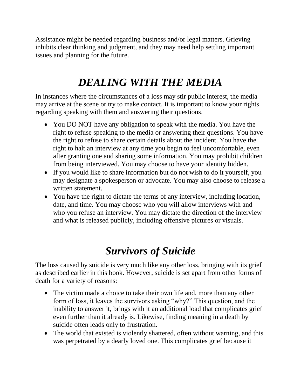Assistance might be needed regarding business and/or legal matters. Grieving inhibits clear thinking and judgment, and they may need help settling important issues and planning for the future.

# *DEALING WITH THE MEDIA*

In instances where the circumstances of a loss may stir public interest, the media may arrive at the scene or try to make contact. It is important to know your rights regarding speaking with them and answering their questions.

- You DO NOT have any obligation to speak with the media. You have the right to refuse speaking to the media or answering their questions. You have the right to refuse to share certain details about the incident. You have the right to halt an interview at any time you begin to feel uncomfortable, even after granting one and sharing some information. You may prohibit children from being interviewed. You may choose to have your identity hidden.
- If you would like to share information but do not wish to do it yourself, you may designate a spokesperson or advocate. You may also choose to release a written statement.
- You have the right to dictate the terms of any interview, including location, date, and time. You may choose who you will allow interviews with and who you refuse an interview. You may dictate the direction of the interview and what is released publicly, including offensive pictures or visuals.

# *Survivors of Suicide*

The loss caused by suicide is very much like any other loss, bringing with its grief as described earlier in this book. However, suicide is set apart from other forms of death for a variety of reasons:

- The victim made a choice to take their own life and, more than any other form of loss, it leaves the survivors asking "why?" This question, and the inability to answer it, brings with it an additional load that complicates grief even further than it already is. Likewise, finding meaning in a death by suicide often leads only to frustration.
- The world that existed is violently shattered, often without warning, and this was perpetrated by a dearly loved one. This complicates grief because it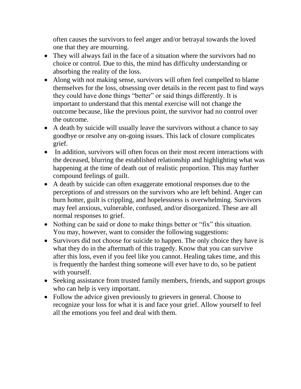often causes the survivors to feel anger and/or betrayal towards the loved one that they are mourning.

- They will always fail in the face of a situation where the survivors had no choice or control. Due to this, the mind has difficulty understanding or absorbing the reality of the loss.
- Along with not making sense, survivors will often feel compelled to blame themselves for the loss, obsessing over details in the recent past to find ways they could have done things "better" or said things differently. It is important to understand that this mental exercise will not change the outcome because, like the previous point, the survivor had no control over the outcome.
- A death by suicide will usually leave the survivors without a chance to say goodbye or resolve any on-going issues. This lack of closure complicates grief.
- In addition, survivors will often focus on their most recent interactions with the deceased, blurring the established relationship and highlighting what was happening at the time of death out of realistic proportion. This may further compound feelings of guilt.
- A death by suicide can often exaggerate emotional responses due to the perceptions of and stressors on the survivors who are left behind. Anger can burn hotter, guilt is crippling, and hopelessness is overwhelming. Survivors may feel anxious, vulnerable, confused, and/or disorganized. These are all normal responses to grief.
- Nothing can be said or done to make things better or "fix" this situation. You may, however, want to consider the following suggestions:
- Survivors did not choose for suicide to happen. The only choice they have is what they do in the aftermath of this tragedy. Know that you can survive after this loss, even if you feel like you cannot. Healing takes time, and this is frequently the hardest thing someone will ever have to do, so be patient with yourself.
- Seeking assistance from trusted family members, friends, and support groups who can help is very important.
- Follow the advice given previously to grievers in general. Choose to recognize your loss for what it is and face your grief. Allow yourself to feel all the emotions you feel and deal with them.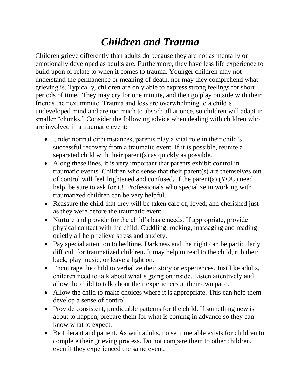# *Children and Trauma*

Children grieve differently than adults do because they are not as mentally or emotionally developed as adults are. Furthermore, they have less life experience to build upon or relate to when it comes to trauma. Younger children may not understand the permanence or meaning of death, nor may they comprehend what grieving is. Typically, children are only able to express strong feelings for short periods of time. They may cry for one minute, and then go play outside with their friends the next minute. Trauma and loss are overwhelming to a child's undeveloped mind and are too much to absorb all at once, so children will adapt in smaller "chunks." Consider the following advice when dealing with children who are involved in a traumatic event:

- Under normal circumstances, parents play a vital role in their child's successful recovery from a traumatic event. If it is possible, reunite a separated child with their parent(s) as quickly as possible.
- Along these lines, it is very important that parents exhibit control in traumatic events. Children who sense that their parent(s) are themselves out of control will feel frightened and confused. If the parent(s) (YOU) need help, be sure to ask for it! Professionals who specialize in working with traumatized children can be very helpful.
- Reassure the child that they will be taken care of, loved, and cherished just as they were before the traumatic event.
- Nurture and provide for the child's basic needs. If appropriate, provide physical contact with the child. Cuddling, rocking, massaging and reading quietly all help relieve stress and anxiety.
- Pay special attention to bedtime. Darkness and the night can be particularly difficult for traumatized children. It may help to read to the child, rub their back, play music, or leave a light on.
- Encourage the child to verbalize their story or experiences. Just like adults, children need to talk about what's going on inside. Listen attentively and allow the child to talk about their experiences at their own pace.
- Allow the child to make choices where it is appropriate. This can help them develop a sense of control.
- Provide consistent, predictable patterns for the child. If something new is about to happen, prepare them for what is coming in advance so they can know what to expect.
- Be tolerant and patient. As with adults, no set timetable exists for children to complete their grieving process. Do not compare them to other children, even if they experienced the same event.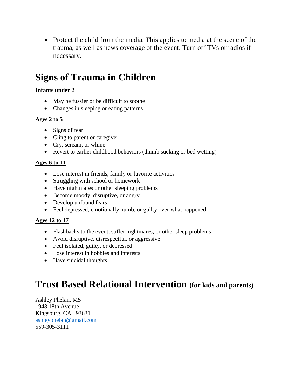• Protect the child from the media. This applies to media at the scene of the trauma, as well as news coverage of the event. Turn off TVs or radios if necessary.

# **Signs of Trauma in Children**

#### **Infants under 2**

- May be fussier or be difficult to soothe
- Changes in sleeping or eating patterns

#### **Ages 2 to 5**

- Signs of fear
- Cling to parent or caregiver
- Cry, scream, or whine
- Revert to earlier childhood behaviors (thumb sucking or bed wetting)

#### **Ages 6 to 11**

- Lose interest in friends, family or favorite activities
- Struggling with school or homework
- Have nightmares or other sleeping problems
- Become moody, disruptive, or angry
- Develop unfound fears
- Feel depressed, emotionally numb, or guilty over what happened

#### **Ages 12 to 17**

- Flashbacks to the event, suffer nightmares, or other sleep problems
- Avoid disruptive, disrespectful, or aggressive
- Feel isolated, guilty, or depressed
- Lose interest in hobbies and interests
- Have suicidal thoughts

# **Trust Based Relational Intervention (for kids and parents)**

Ashley Phelan, MS 1948 18th Avenue Kingsburg, CA. 93631 [ashleyphelan@gmail.com](mailto:ashleyphelan@gmail.com) 559-305-3111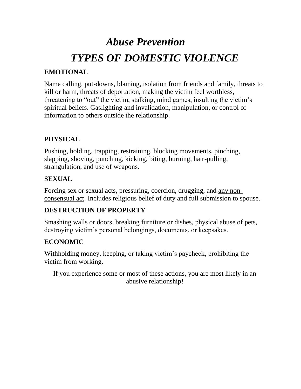# *Abuse Prevention TYPES OF DOMESTIC VIOLENCE*

# **EMOTIONAL**

Name calling, put-downs, blaming, isolation from friends and family, threats to kill or harm, threats of deportation, making the victim feel worthless, threatening to "out" the victim, stalking, mind games, insulting the victim's spiritual beliefs. Gaslighting and invalidation, manipulation, or control of information to others outside the relationship.

# **PHYSICAL**

Pushing, holding, trapping, restraining, blocking movements, pinching, slapping, shoving, punching, kicking, biting, burning, hair-pulling, strangulation, and use of weapons.

### **SEXUAL**

Forcing sex or sexual acts, pressuring, coercion, drugging, and any nonconsensual act. Includes religious belief of duty and full submission to spouse.

# **DESTRUCTION OF PROPERTY**

Smashing walls or doors, breaking furniture or dishes, physical abuse of pets, destroying victim's personal belongings, documents, or keepsakes.

# **ECONOMIC**

Withholding money, keeping, or taking victim's paycheck, prohibiting the victim from working.

If you experience some or most of these actions, you are most likely in an abusive relationship!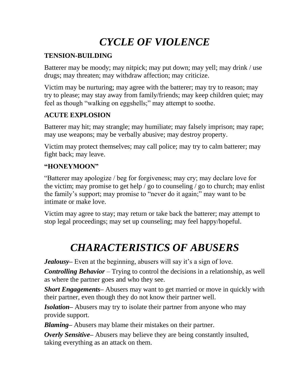# *CYCLE OF VIOLENCE*

# **TENSION-BUILDING**

Batterer may be moody; may nitpick; may put down; may yell; may drink / use drugs; may threaten; may withdraw affection; may criticize.

Victim may be nurturing; may agree with the batterer; may try to reason; may try to please; may stay away from family/friends; may keep children quiet; may feel as though "walking on eggshells;" may attempt to soothe.

# **ACUTE EXPLOSION**

Batterer may hit; may strangle; may humiliate; may falsely imprison; may rape; may use weapons; may be verbally abusive; may destroy property.

Victim may protect themselves; may call police; may try to calm batterer; may fight back; may leave.

### **"HONEYMOON"**

"Batterer may apologize / beg for forgiveness; may cry; may declare love for the victim; may promise to get help / go to counseling / go to church; may enlist the family's support; may promise to "never do it again;" may want to be intimate or make love.

Victim may agree to stay; may return or take back the batterer; may attempt to stop legal proceedings; may set up counseling; may feel happy/hopeful.

# *CHARACTERISTICS OF ABUSERS*

*Jealousy*– Even at the beginning, abusers will say it's a sign of love.

*Controlling Behavior* – Trying to control the decisions in a relationship, as well as where the partner goes and who they see.

*Short Engagements***–** Abusers may want to get married or move in quickly with their partner, even though they do not know their partner well.

*Isolation***–** Abusers may try to isolate their partner from anyone who may provide support.

*Blaming***–** Abusers may blame their mistakes on their partner.

*Overly Sensitive***–** Abusers may believe they are being constantly insulted, taking everything as an attack on them.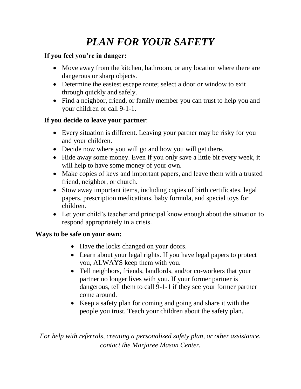# *PLAN FOR YOUR SAFETY*

# **If you feel you're in danger:**

- Move away from the kitchen, bathroom, or any location where there are dangerous or sharp objects.
- Determine the easiest escape route; select a door or window to exit through quickly and safely.
- Find a neighbor, friend, or family member you can trust to help you and your children or call 9-1-1.

### **If you decide to leave your partner**:

- Every situation is different. Leaving your partner may be risky for you and your children.
- Decide now where you will go and how you will get there.
- Hide away some money. Even if you only save a little bit every week, it will help to have some money of your own.
- Make copies of keys and important papers, and leave them with a trusted friend, neighbor, or church.
- Stow away important items, including copies of birth certificates, legal papers, prescription medications, baby formula, and special toys for children.
- Let your child's teacher and principal know enough about the situation to respond appropriately in a crisis.

### **Ways to be safe on your own:**

- Have the locks changed on your doors.
- Learn about your legal rights. If you have legal papers to protect you, ALWAYS keep them with you.
- Tell neighbors, friends, landlords, and/or co-workers that your partner no longer lives with you. If your former partner is dangerous, tell them to call 9-1-1 if they see your former partner come around.
- Keep a safety plan for coming and going and share it with the people you trust. Teach your children about the safety plan.

*For help with referrals, creating a personalized safety plan, or other assistance, contact the Marjaree Mason Center.*